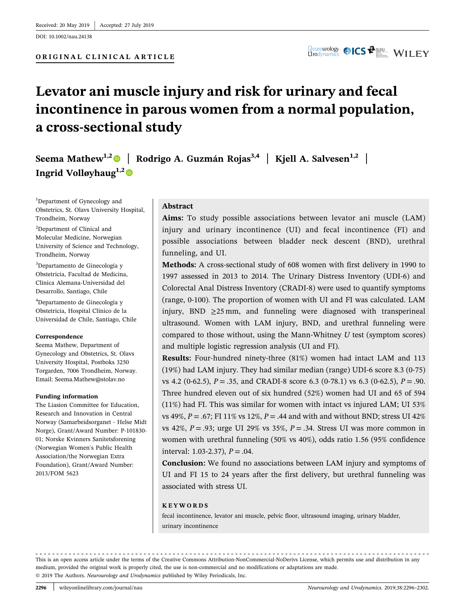DOI: 10.1002/nau.24138

# Levator ani muscle injury and risk for urinary and fecal incontinence in parous women from a normal population, a cross‐sectional study

Seema Mathew<sup>1,2</sup> | Rodrigo A. Guzmán Rojas<sup>3,4</sup> | Kjell A. Salvesen<sup>1,2</sup> | Ingrid Volløyhaug<sup>1,2</sup>

<sup>1</sup>Department of Gynecology and Obstetrics, St. Olavs University Hospital, Trondheim, Norway

2 Department of Clinical and Molecular Medicine, Norwegian University of Science and Technology, Trondheim, Norway

3 Departamento de Ginecología y Obstetricia, Facultad de Medicina, Clínica Alemana‐Universidad del Desarrollo, Santiago, Chile

4 Departamento de Ginecología y Obstetricia, Hospital Clínico de la Universidad de Chile, Santiago, Chile

#### Correspondence

Seema Mathew, Department of Gynecology and Obstetrics, St. Olavs University Hospital, Postboks 3250 Torgarden, 7006 Trondheim, Norway. Email: [Seema.Mathew@stolav.no](mailto:Seema.Mathew@stolav.no)

#### Funding information

The Liasion Committee for Education, Research and Innovation in Central Norway (Samarbeidsorganet ‐ Helse Midt Norge), Grant/Award Number: P‐101830‐ 01; Norske Kvinners Sanitetsforening (Norwegian Women`s Public Health Association/the Norwegian Extra Foundation), Grant/Award Number: 2013/FOM 5623

#### Abstract

Aims: To study possible associations between levator ani muscle (LAM) injury and urinary incontinence (UI) and fecal incontinence (FI) and possible associations between bladder neck descent (BND), urethral funneling, and UI.

Methods: A cross-sectional study of 608 women with first delivery in 1990 to 1997 assessed in 2013 to 2014. The Urinary Distress Inventory (UDI‐6) and Colorectal Anal Distress Inventory (CRADI‐8) were used to quantify symptoms (range, 0‐100). The proportion of women with UI and FI was calculated. LAM injury, BND  $\geq$ 25 mm, and funneling were diagnosed with transperineal ultrasound. Women with LAM injury, BND, and urethral funneling were compared to those without, using the Mann-Whitney  $U$  test (symptom scores) and multiple logistic regression analysis (UI and FI).

Results: Four‐hundred ninety‐three (81%) women had intact LAM and 113 (19%) had LAM injury. They had similar median (range) UDI‐6 score 8.3 (0‐75) vs 4.2 (0-62.5),  $P = .35$ , and CRADI-8 score 6.3 (0-78.1) vs 6.3 (0-62.5),  $P = .90$ . Three hundred eleven out of six hundred (52%) women had UI and 65 of 594 (11%) had FI. This was similar for women with intact vs injured LAM; UI 53% vs 49%,  $P = .67$ ; FI 11% vs 12%,  $P = .44$  and with and without BND; stress UI 42% vs 42%,  $P = .93$ ; urge UI 29% vs 35%,  $P = .34$ . Stress UI was more common in women with urethral funneling (50% vs 40%), odds ratio 1.56 (95% confidence interval: 1.03-2.37),  $P = .04$ .

Conclusion: We found no associations between LAM injury and symptoms of UI and FI 15 to 24 years after the first delivery, but urethral funneling was associated with stress UI.

#### KEYWORDS

fecal incontinence, levator ani muscle, pelvic floor, ultrasound imaging, urinary bladder, urinary incontinence

© 2019 The Authors. Neurourology and Urodynamics published by Wiley Periodicals, Inc. This is an open access article under the terms of the Creative Commons Attribution-NonCommercial-NoDerivs License, which permits use and distribution in any medium, provided the original work is properly cited, the use is non‐commercial and no modifications or adaptations are made.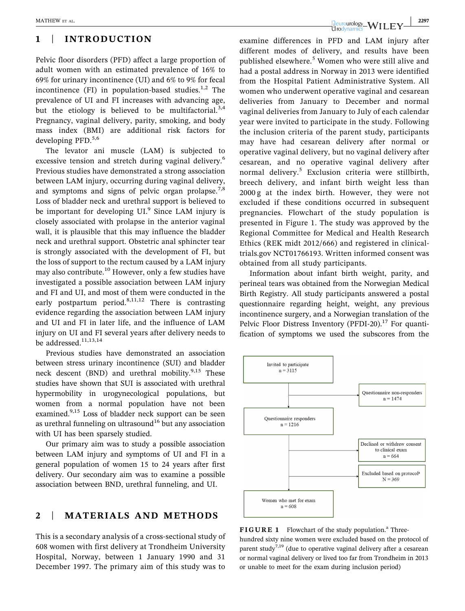# 1 | INTRODUCTION

Pelvic floor disorders (PFD) affect a large proportion of adult women with an estimated prevalence of 16% to 69% for urinary incontinence (UI) and 6% to 9% for fecal incontinence (FI) in population-based studies.<sup>1,2</sup> The prevalence of UI and FI increases with advancing age, but the etiology is believed to be multifactorial.<sup>3,4</sup> Pregnancy, vaginal delivery, parity, smoking, and body mass index (BMI) are additional risk factors for developing PFD.<sup>5,6</sup>

The levator ani muscle (LAM) is subjected to excessive tension and stretch during vaginal delivery.<sup>6</sup> Previous studies have demonstrated a strong association between LAM injury, occurring during vaginal delivery, and symptoms and signs of pelvic organ prolapse.<sup>7,8</sup> Loss of bladder neck and urethral support is believed to be important for developing  $UI<sup>9</sup>$  Since LAM injury is closely associated with prolapse in the anterior vaginal wall, it is plausible that this may influence the bladder neck and urethral support. Obstetric anal sphincter tear is strongly associated with the development of FI, but the loss of support to the rectum caused by a LAM injury may also contribute.<sup>10</sup> However, only a few studies have investigated a possible association between LAM injury and FI and UI, and most of them were conducted in the early postpartum period. $8,11,12$  There is contrasting evidence regarding the association between LAM injury and UI and FI in later life, and the influence of LAM injury on UI and FI several years after delivery needs to be addressed.<sup>11,13,14</sup>

Previous studies have demonstrated an association between stress urinary incontinence (SUI) and bladder neck descent (BND) and urethral mobility.<sup>9,15</sup> These studies have shown that SUI is associated with urethral hypermobility in urogynecological populations, but women from a normal population have not been examined.<sup>9,15</sup> Loss of bladder neck support can be seen as urethral funneling on ultrasound<sup>16</sup> but any association with UI has been sparsely studied.

Our primary aim was to study a possible association between LAM injury and symptoms of UI and FI in a general population of women 15 to 24 years after first delivery. Our secondary aim was to examine a possible association between BND, urethral funneling, and UI.

# 2 | MATERIALS AND METHODS

This is a secondary analysis of a cross‐sectional study of 608 women with first delivery at Trondheim University Hospital, Norway, between 1 January 1990 and 31 December 1997. The primary aim of this study was to

MATHEW ET AL.  $\begin{array}{|c|c|c|c|c|}\hline \text{Neurourology}-W \text{II} & \text{Fy} & \text{2297} \ \hline \end{array}$ 

examine differences in PFD and LAM injury after different modes of delivery, and results have been published elsewhere.<sup>5</sup> Women who were still alive and had a postal address in Norway in 2013 were identified from the Hospital Patient Administrative System. All women who underwent operative vaginal and cesarean deliveries from January to December and normal vaginal deliveries from January to July of each calendar year were invited to participate in the study. Following the inclusion criteria of the parent study, participants may have had cesarean delivery after normal or operative vaginal delivery, but no vaginal delivery after cesarean, and no operative vaginal delivery after normal delivery.<sup>5</sup> Exclusion criteria were stillbirth, breech delivery, and infant birth weight less than 2000 g at the index birth. However, they were not excluded if these conditions occurred in subsequent pregnancies. Flowchart of the study population is presented in Figure 1. The study was approved by the Regional Committee for Medical and Health Research Ethics (REK midt 2012/666) and registered in clinicaltrials.gov NCT01766193. Written informed consent was obtained from all study participants.

Information about infant birth weight, parity, and perineal tears was obtained from the Norwegian Medical Birth Registry. All study participants answered a postal questionnaire regarding height, weight, any previous incontinence surgery, and a Norwegian translation of the Pelvic Floor Distress Inventory (PFDI-20).<sup>17</sup> For quantification of symptoms we used the subscores from the



FIGURE 1 Flowchart of the study population.<sup>a</sup> Threehundred sixty nine women were excluded based on the protocol of parent study<sup>7,19</sup> (due to operative vaginal delivery after a cesarean or normal vaginal delivery or lived too far from Trondheim in 2013 or unable to meet for the exam during inclusion period)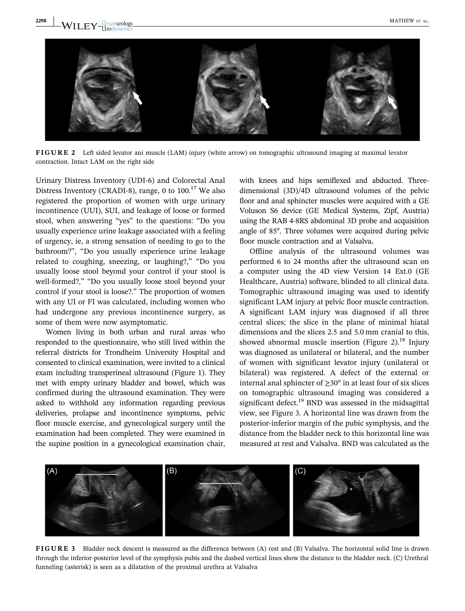

FIGURE 2 Left sided levator ani muscle (LAM) injury (white arrow) on tomographic ultrasound imaging at maximal levator contraction. Intact LAM on the right side

Urinary Distress Inventory (UDI‐6) and Colorectal Anal Distress Inventory (CRADI-8), range, 0 to  $100^{17}$  We also registered the proportion of women with urge urinary incontinence (UUI), SUI, and leakage of loose or formed stool, when answering "yes" to the questions: "Do you usually experience urine leakage associated with a feeling of urgency, ie, a strong sensation of needing to go to the bathroom?", "Do you usually experience urine leakage related to coughing, sneezing, or laughing?," "Do you usually loose stool beyond your control if your stool is well-formed?," "Do you usually loose stool beyond your control if your stool is loose?." The proportion of women with any UI or FI was calculated, including women who had undergone any previous incontinence surgery, as some of them were now asymptomatic.

Women living in both urban and rural areas who responded to the questionnaire, who still lived within the referral districts for Trondheim University Hospital and consented to clinical examination, were invited to a clinical exam including transperineal ultrasound (Figure 1). They met with empty urinary bladder and bowel, which was confirmed during the ultrasound examination. They were asked to withhold any information regarding previous deliveries, prolapse and incontinence symptoms, pelvic floor muscle exercise, and gynecological surgery until the examination had been completed. They were examined in the supine position in a gynecological examination chair, with knees and hips semiflexed and abducted. Threedimensional (3D)/4D ultrasound volumes of the pelvic floor and anal sphincter muscles were acquired with a GE Voluson S6 device (GE Medical Systems, Zipf, Austria) using the RAB 4‐8RS abdominal 3D probe and acquisition angle of 85°. Three volumes were acquired during pelvic floor muscle contraction and at Valsalva.

Offline analysis of the ultrasound volumes was performed 6 to 24 months after the ultrasound scan on a computer using the 4D view Version 14 Ext.0 (GE Healthcare, Austria) software, blinded to all clinical data. Tomographic ultrasound imaging was used to identify significant LAM injury at pelvic floor muscle contraction. A significant LAM injury was diagnosed if all three central slices; the slice in the plane of minimal hiatal dimensions and the slices 2.5 and 5.0 mm cranial to this, showed abnormal muscle insertion (Figure 2).<sup>18</sup> Injury was diagnosed as unilateral or bilateral, and the number of women with significant levator injury (unilateral or bilateral) was registered. A defect of the external or internal anal sphincter of  $\geq 30^{\circ}$  in at least four of six slices on tomographic ultrasound imaging was considered a significant defect.<sup>19</sup> BND was assessed in the midsagittal view, see Figure 3. A horizontal line was drawn from the posterior‐inferior margin of the pubic symphysis, and the distance from the bladder neck to this horizontal line was measured at rest and Valsalva. BND was calculated as the



FIGURE 3 Bladder neck descent is measured as the difference between (A) rest and (B) Valsalva. The horizontal solid line is drawn through the inferior‐posterior level of the symphysis pubis and the dashed vertical lines show the distance to the bladder neck. (C) Urethral funneling (asterisk) is seen as a dilatation of the proximal urethra at Valsalva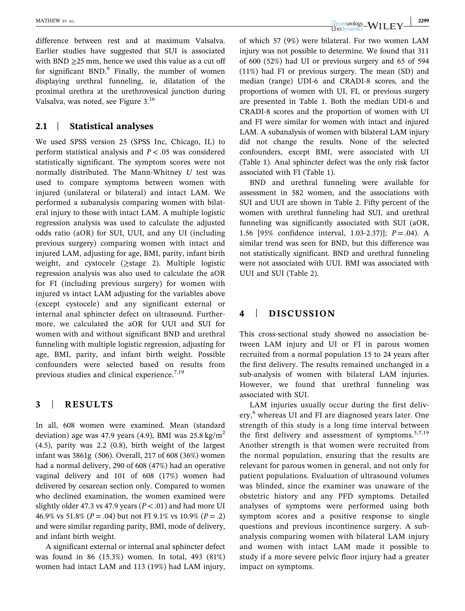difference between rest and at maximum Valsalva. Earlier studies have suggested that SUI is associated with BND  $\geq$ 25 mm, hence we used this value as a cut off for significant  $BND<sup>9</sup>$  Finally, the number of women displaying urethral funneling, ie, dilatation of the proximal urethra at the urethrovesical junction during Valsalva, was noted, see Figure 3.16

## 2.1 | Statistical analyses

We used SPSS version 25 (SPSS Inc, Chicago, IL) to perform statistical analysis and  $P < .05$  was considered statistically significant. The symptom scores were not normally distributed. The Mann-Whitney  $U$  test was used to compare symptoms between women with injured (unilateral or bilateral) and intact LAM. We performed a subanalysis comparing women with bilateral injury to those with intact LAM. A multiple logistic regression analysis was used to calculate the adjusted odds ratio (aOR) for SUI, UUI, and any UI (including previous surgery) comparing women with intact and injured LAM, adjusting for age, BMI, parity, infant birth weight, and cystocele (≥stage 2). Multiple logistic regression analysis was also used to calculate the aOR for FI (including previous surgery) for women with injured vs intact LAM adjusting for the variables above (except cystocele) and any significant external or internal anal sphincter defect on ultrasound. Furthermore, we calculated the aOR for UUI and SUI for women with and without significant BND and urethral funneling with multiple logistic regression, adjusting for age, BMI, parity, and infant birth weight. Possible confounders were selected based on results from previous studies and clinical experience.<sup>7,19</sup>

## 3 | RESULTS

In all, 608 women were examined. Mean (standard deviation) age was 47.9 years (4.9), BMI was  $25.8 \text{ kg/m}^2$ (4.5), parity was 2.2 (0.8), birth weight of the largest infant was 3861g (506). Overall, 217 of 608 (36%) women had a normal delivery, 290 of 608 (47%) had an operative vaginal delivery and 101 of 608 (17%) women had delivered by cesarean section only. Compared to women who declined examination, the women examined were slightly older 47.3 vs 47.9 years ( $P < .01$ ) and had more UI 46.9% vs 51.8% ( $P = .04$ ) but not FI 9.1% vs 10.9% ( $P = .2$ ) and were similar regarding parity, BMI, mode of delivery, and infant birth weight.

A significant external or internal anal sphincter defect was found in 86 (15.3%) women. In total, 493 (81%) women had intact LAM and 113 (19%) had LAM injury,

MATHEW ET AL.  $\begin{array}{|c|c|c|c|c|}\hline \text{Neurology} & \text{WII} & \text{FY} & \text{2299} \ \hline \end{array}$ 

of which 57 (9%) were bilateral. For two women LAM injury was not possible to determine. We found that 311 of 600 (52%) had UI or previous surgery and 65 of 594 (11%) had FI or previous surgery. The mean (SD) and median (range) UDI‐6 and CRADI‐8 scores, and the proportions of women with UI, FI, or previous surgery are presented in Table 1. Both the median UDI‐6 and CRADI‐8 scores and the proportion of women with UI and FI were similar for women with intact and injured LAM. A subanalysis of women with bilateral LAM injury did not change the results. None of the selected confounders, except BMI, were associated with UI (Table 1). Anal sphincter defect was the only risk factor associated with FI (Table 1).

BND and urethral funneling were available for assessment in 582 women, and the associations with SUI and UUI are shown in Table 2. Fifty percent of the women with urethral funneling had SUI, and urethral funneling was significantly associated with SUI (aOR, 1.56 [95% confidence interval, 1.03-2.37)];  $P = .04$ ). A similar trend was seen for BND, but this difference was not statistically significant. BND and urethral funneling were not associated with UUI. BMI was associated with UUI and SUI (Table 2).

# 4 | DISCUSSION

This cross‐sectional study showed no association between LAM injury and UI or FI in parous women recruited from a normal population 15 to 24 years after the first delivery. The results remained unchanged in a sub-analysis of women with bilateral LAM injuries. However, we found that urethral funneling was associated with SUI.

LAM injuries usually occur during the first delivery,<sup>6</sup> whereas UI and FI are diagnosed years later. One strength of this study is a long time interval between the first delivery and assessment of symptoms.<sup>5,7,19</sup> Another strength is that women were recruited from the normal population, ensuring that the results are relevant for parous women in general, and not only for patient populations. Evaluation of ultrasound volumes was blinded, since the examiner was unaware of the obstetric history and any PFD symptoms. Detailed analyses of symptoms were performed using both symptom scores and a positive response to single questions and previous incontinence surgery. A subanalysis comparing women with bilateral LAM injury and women with intact LAM made it possible to study if a more severe pelvic floor injury had a greater impact on symptoms.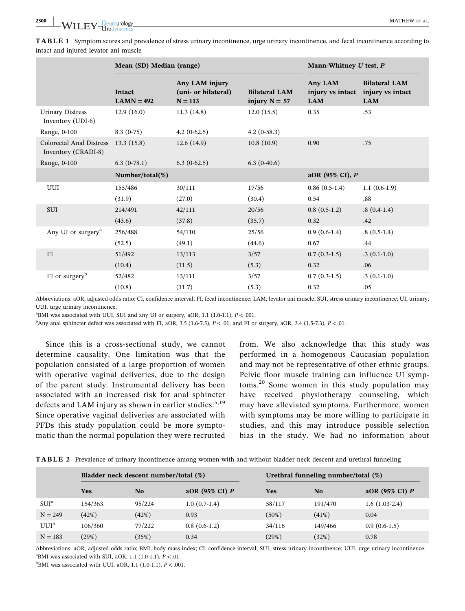|                                                 | Mean (SD) Median (range) |                                                    |                                         | Mann-Whitney U test, P                    |                                                        |
|-------------------------------------------------|--------------------------|----------------------------------------------------|-----------------------------------------|-------------------------------------------|--------------------------------------------------------|
|                                                 | Intact<br>$LAMN = 492$   | Any LAM injury<br>(uni- or bilateral)<br>$N = 113$ | <b>Bilateral LAM</b><br>injury $N = 57$ | Any LAM<br>injury vs intact<br><b>LAM</b> | <b>Bilateral LAM</b><br>injury vs intact<br><b>LAM</b> |
| <b>Urinary Distress</b><br>Inventory (UDI-6)    | 12.9(16.0)               | 11.3(14.8)                                         | 12.0(15.5)                              | 0.35                                      | .53                                                    |
| Range, 0-100                                    | $8.3(0-75)$              | $4.2(0-62.5)$                                      | $4.2(0-58.3)$                           |                                           |                                                        |
| Colorectal Anal Distress<br>Inventory (CRADI-8) | 13.3(15.8)               | 12.6(14.9)                                         | 10.8(10.9)                              | 0.90                                      | .75                                                    |
| Range, 0-100                                    | $6.3(0-78.1)$            | $6.3(0-62.5)$                                      | $6.3(0-40.6)$                           |                                           |                                                        |
|                                                 | Number/total $(\%)$      |                                                    |                                         | aOR (95% CI), P                           |                                                        |
| UUI                                             | 155/486                  | 30/111                                             | 17/56                                   | $0.86(0.5-1.4)$                           | $1.1(0.6-1.9)$                                         |
|                                                 | (31.9)                   | (27.0)                                             | (30.4)                                  | 0.54                                      | .88                                                    |
| <b>SUI</b>                                      | 214/491                  | 42/111                                             | 20/56                                   | $0.8(0.5-1.2)$                            | $.8(0.4-1.4)$                                          |
|                                                 | (43.6)                   | (37.8)                                             | (35.7)                                  | 0.32                                      | .42                                                    |
| Any UI or surgery <sup>a</sup>                  | 256/488                  | 54/110                                             | 25/56                                   | $0.9(0.6-1.4)$                            | $.8(0.5-1.4)$                                          |
|                                                 | (52.5)                   | (49.1)                                             | (44.6)                                  | 0.67                                      | .44                                                    |
| FI                                              | 51/492                   | 13/113                                             | 3/57                                    | $0.7(0.3-1.5)$                            | $.3(0.1-1.0)$                                          |
|                                                 | (10.4)                   | (11.5)                                             | (5.3)                                   | 0.32                                      | .06                                                    |
| $FI$ or surgery <sup>b</sup>                    | 52/482                   | 13/111                                             | 3/57                                    | $0.7(0.3-1.5)$                            | $.3(0.1-1.0)$                                          |
|                                                 | (10.8)                   | (11.7)                                             | (5.3)                                   | 0.32                                      | .05                                                    |

TABLE 1 Symptom scores and prevalence of stress urinary incontinence, urge urinary incontinence, and fecal incontinence according to intact and injured levator ani muscle

Abbreviations: aOR, adjusted odds ratio; CI, confidence interval; FI, fecal incontinence; LAM, levator ani muscle; SUI, stress urinary incontinence; UI, urinary; UUI, urge urinary incontinence.

 $^{\text{a}}$ BMI was associated with UUI, SUI and any UI or surgery, aOR, 1.1 (1.0-1.1),  $P < .001$ .

 $b$ Any anal sphincter defect was associated with FI, aOR, 3.5 (1.6-7.5),  $P < 0.01$ , and FI or surgery, aOR, 3.4 (1.5-7.3),  $P < 0.01$ .

Since this is a cross‐sectional study, we cannot determine causality. One limitation was that the population consisted of a large proportion of women with operative vaginal deliveries, due to the design of the parent study. Instrumental delivery has been associated with an increased risk for anal sphincter defects and LAM injury as shown in earlier studies.<sup>5,19</sup> Since operative vaginal deliveries are associated with PFDs this study population could be more symptomatic than the normal population they were recruited from. We also acknowledge that this study was performed in a homogenous Caucasian population and may not be representative of other ethnic groups. Pelvic floor muscle training can influence UI symptoms.<sup>20</sup> Some women in this study population may have received physiotherapy counseling, which may have alleviated symptoms. Furthermore, women with symptoms may be more willing to participate in studies, and this may introduce possible selection bias in the study. We had no information about

| TABLE 2 Prevalence of urinary incontinence among women with and without bladder neck descent and urethral funneling |  |  |  |
|---------------------------------------------------------------------------------------------------------------------|--|--|--|
|                                                                                                                     |  |  |  |

|                  | Bladder neck descent number/total (%) |        |                  | Urethral funneling number/total (%) |         |                  |  |
|------------------|---------------------------------------|--------|------------------|-------------------------------------|---------|------------------|--|
|                  | Yes                                   | No     | aOR (95% CI) $P$ | Yes                                 | No.     | aOR (95% CI) $P$ |  |
| SUI <sup>a</sup> | 154/363                               | 95/224 | $1.0(0.7-1.4)$   | 58/117                              | 191/470 | $1.6(1.03-2.4)$  |  |
| $N = 249$        | (42%)                                 | (42%)  | 0.93             | (50%)                               | (41%)   | 0.04             |  |
| UUI <sup>b</sup> | 106/360                               | 77/222 | $0.8(0.6-1.2)$   | 34/116                              | 149/466 | $0.9(0.6-1.5)$   |  |
| $N = 183$        | (29%)                                 | (35%)  | 0.34             | (29%)                               | (32%)   | 0.78             |  |

Abbreviations: aOR, adjusted odds ratio; BMI, body mass index; CI, confidence interval; SUI, stress urinary incontinence; UUI, urge urinary incontinence.  ${}^{\text{a}}$ BMI was associated with SUI, aOR, 1.1 (1.0-1.1),  $P < .01$ .

 $^{b}$ BMI was associated with UUI, aOR, 1.1 (1.0-1.1),  $P < .001$ .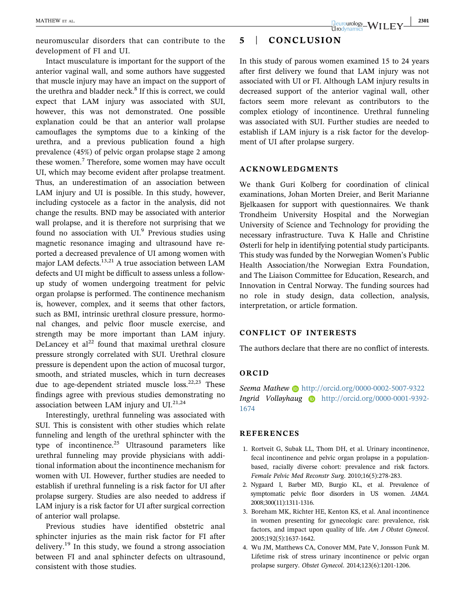Intact musculature is important for the support of the anterior vaginal wall, and some authors have suggested that muscle injury may have an impact on the support of the urethra and bladder neck. $8$  If this is correct, we could expect that LAM injury was associated with SUI, however, this was not demonstrated. One possible explanation could be that an anterior wall prolapse camouflages the symptoms due to a kinking of the urethra, and a previous publication found a high prevalence (45%) of pelvic organ prolapse stage 2 among these women.<sup>7</sup> Therefore, some women may have occult UI, which may become evident after prolapse treatment. Thus, an underestimation of an association between LAM injury and UI is possible. In this study, however, including cystocele as a factor in the analysis, did not change the results. BND may be associated with anterior wall prolapse, and it is therefore not surprising that we found no association with  $UI<sup>9</sup>$  Previous studies using magnetic resonance imaging and ultrasound have reported a decreased prevalence of UI among women with major LAM defects. $13,21$  A true association between LAM defects and UI might be difficult to assess unless a follow‐ up study of women undergoing treatment for pelvic organ prolapse is performed. The continence mechanism is, however, complex, and it seems that other factors, such as BMI, intrinsic urethral closure pressure, hormonal changes, and pelvic floor muscle exercise, and strength may be more important than LAM injury. DeLancey et  $al^{22}$  found that maximal urethral closure pressure strongly correlated with SUI. Urethral closure pressure is dependent upon the action of mucosal turgor, smooth, and striated muscles, which in turn decreases due to age-dependent striated muscle  $loss.<sup>22,23</sup>$  These findings agree with previous studies demonstrating no association between LAM injury and  $UI.<sup>21,24</sup>$ 

Interestingly, urethral funneling was associated with SUI. This is consistent with other studies which relate funneling and length of the urethral sphincter with the type of incontinence. $^{25}$  Ultrasound parameters like urethral funneling may provide physicians with additional information about the incontinence mechanism for women with UI. However, further studies are needed to establish if urethral funneling is a risk factor for UI after prolapse surgery. Studies are also needed to address if LAM injury is a risk factor for UI after surgical correction of anterior wall prolapse.

Previous studies have identified obstetric anal sphincter injuries as the main risk factor for FI after delivery.<sup>19</sup> In this study, we found a strong association between FI and anal sphincter defects on ultrasound, consistent with those studies.

# 5 | CONCLUSION

In this study of parous women examined 15 to 24 years after first delivery we found that LAM injury was not associated with UI or FI. Although LAM injury results in decreased support of the anterior vaginal wall, other factors seem more relevant as contributors to the complex etiology of incontinence. Urethral funneling was associated with SUI. Further studies are needed to establish if LAM injury is a risk factor for the development of UI after prolapse surgery.

### ACKNOWLEDGMENTS

We thank Guri Kolberg for coordination of clinical examinations, Johan Morten Dreier, and Berit Marianne Bjelkaasen for support with questionnaires. We thank Trondheim University Hospital and the Norwegian University of Science and Technology for providing the necessary infrastructure. Tuva K Halle and Christine Østerli for help in identifying potential study participants. This study was funded by the Norwegian Women's Public Health Association/the Norwegian Extra Foundation, and The Liaison Committee for Education, Research, and Innovation in Central Norway. The funding sources had no role in study design, data collection, analysis, interpretation, or article formation.

## CONFLICT OF INTERESTS

The authors declare that there are no conflict of interests.

## ORCID

Seema Mathew **b** <http://orcid.org/0000-0002-5007-9322> Ingrid Volløyhaug in [http://orcid.org/0000-0001-9392-](http://orcid.org/0000-0001-9392-1674) [1674](http://orcid.org/0000-0001-9392-1674)

#### REFERENCES

- 1. Rortveit G, Subak LL, Thom DH, et al. Urinary incontinence, fecal incontinence and pelvic organ prolapse in a populationbased, racially diverse cohort: prevalence and risk factors. Female Pelvic Med Reconstr Surg. 2010;16(5):278‐283.
- 2. Nygaard I, Barber MD, Burgio KL, et al. Prevalence of symptomatic pelvic floor disorders in US women. JAMA. 2008;300(11):1311‐1316.
- 3. Boreham MK, Richter HE, Kenton KS, et al. Anal incontinence in women presenting for gynecologic care: prevalence, risk factors, and impact upon quality of life. Am J Obstet Gynecol. 2005;192(5):1637‐1642.
- 4. Wu JM, Matthews CA, Conover MM, Pate V, Jonsson Funk M. Lifetime risk of stress urinary incontinence or pelvic organ prolapse surgery. Obstet Gynecol. 2014;123(6):1201‐1206.